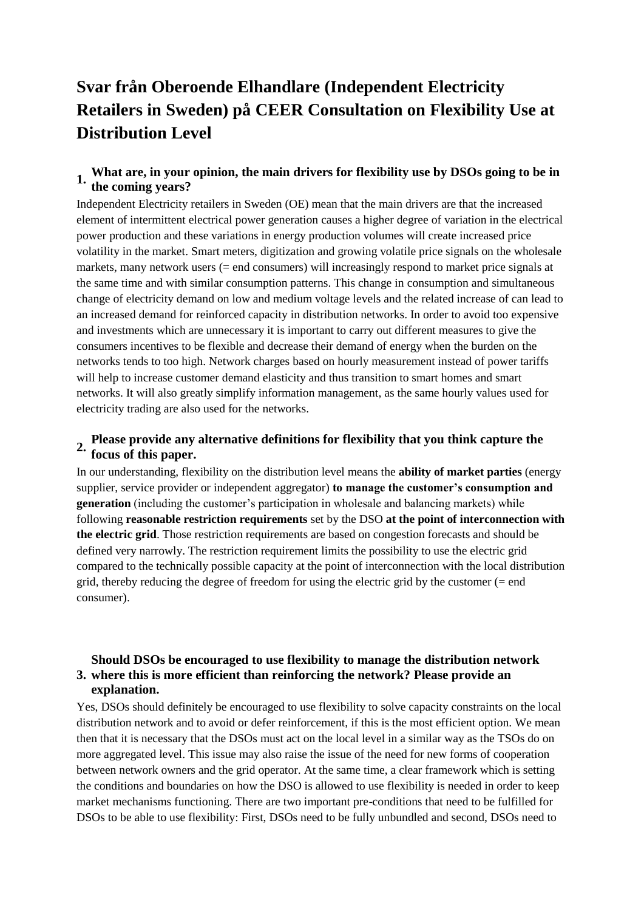## **Svar från Oberoende Elhandlare (Independent Electricity Retailers in Sweden) på CEER Consultation on Flexibility Use at Distribution Level**

### **1. What are, in your opinion, the main drivers for flexibility use by DSOs going to be in the coming years?**

Independent Electricity retailers in Sweden (OE) mean that the main drivers are that the increased element of intermittent electrical power generation causes a higher degree of variation in the electrical power production and these variations in energy production volumes will create increased price volatility in the market. Smart meters, digitization and growing volatile price signals on the wholesale markets, many network users (= end consumers) will increasingly respond to market price signals at the same time and with similar consumption patterns. This change in consumption and simultaneous change of electricity demand on low and medium voltage levels and the related increase of can lead to an increased demand for reinforced capacity in distribution networks. In order to avoid too expensive and investments which are unnecessary it is important to carry out different measures to give the consumers incentives to be flexible and decrease their demand of energy when the burden on the networks tends to too high. Network charges based on hourly measurement instead of power tariffs will help to increase customer demand elasticity and thus transition to smart homes and smart networks. It will also greatly simplify information management, as the same hourly values used for electricity trading are also used for the networks.

### **2. Please provide any alternative definitions for flexibility that you think capture the focus of this paper.**

In our understanding, flexibility on the distribution level means the **ability of market parties** (energy supplier, service provider or independent aggregator) **to manage the customer's consumption and generation** (including the customer's participation in wholesale and balancing markets) while following **reasonable restriction requirements** set by the DSO **at the point of interconnection with the electric grid**. Those restriction requirements are based on congestion forecasts and should be defined very narrowly. The restriction requirement limits the possibility to use the electric grid compared to the technically possible capacity at the point of interconnection with the local distribution grid, thereby reducing the degree of freedom for using the electric grid by the customer (= end consumer).

#### **3. where this is more efficient than reinforcing the network? Please provide an Should DSOs be encouraged to use flexibility to manage the distribution network explanation.**

Yes, DSOs should definitely be encouraged to use flexibility to solve capacity constraints on the local distribution network and to avoid or defer reinforcement, if this is the most efficient option. We mean then that it is necessary that the DSOs must act on the local level in a similar way as the TSOs do on more aggregated level. This issue may also raise the issue of the need for new forms of cooperation between network owners and the grid operator. At the same time, a clear framework which is setting the conditions and boundaries on how the DSO is allowed to use flexibility is needed in order to keep market mechanisms functioning. There are two important pre-conditions that need to be fulfilled for DSOs to be able to use flexibility: First, DSOs need to be fully unbundled and second, DSOs need to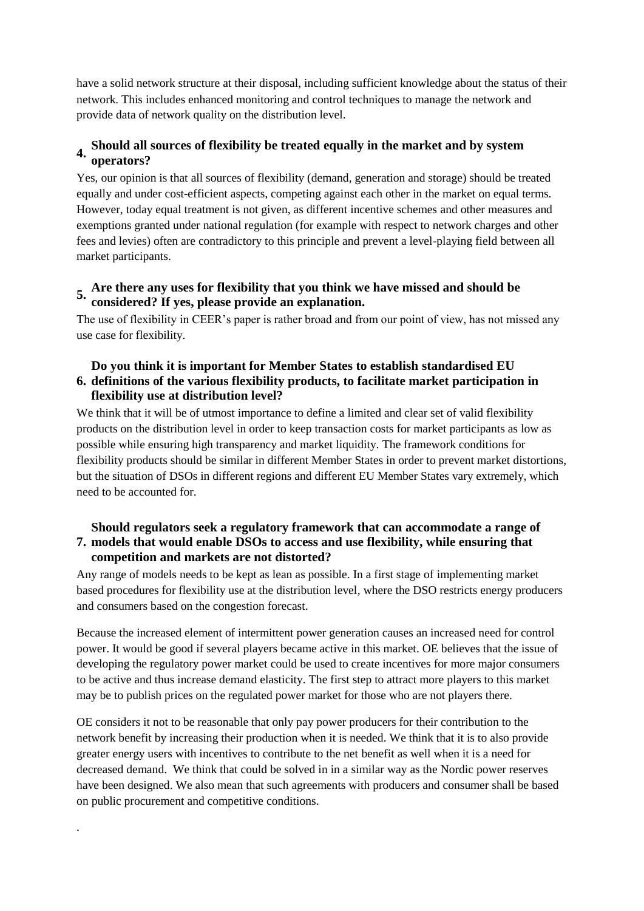have a solid network structure at their disposal, including sufficient knowledge about the status of their network. This includes enhanced monitoring and control techniques to manage the network and provide data of network quality on the distribution level.

# **4. Should all sources of flexibility be treated equally in the market and by system operators?**

Yes, our opinion is that all sources of flexibility (demand, generation and storage) should be treated equally and under cost-efficient aspects, competing against each other in the market on equal terms. However, today equal treatment is not given, as different incentive schemes and other measures and exemptions granted under national regulation (for example with respect to network charges and other fees and levies) often are contradictory to this principle and prevent a level-playing field between all market participants.

### **5.** Are there any uses for flexibility that you think we have missed and should be **considered? If yes, please provide an explanation.**

The use of flexibility in CEER's paper is rather broad and from our point of view, has not missed any use case for flexibility.

#### **6. definitions of the various flexibility products, to facilitate market participation in Do you think it is important for Member States to establish standardised EU flexibility use at distribution level?**

We think that it will be of utmost importance to define a limited and clear set of valid flexibility products on the distribution level in order to keep transaction costs for market participants as low as possible while ensuring high transparency and market liquidity. The framework conditions for flexibility products should be similar in different Member States in order to prevent market distortions, but the situation of DSOs in different regions and different EU Member States vary extremely, which need to be accounted for.

#### **7. models that would enable DSOs to access and use flexibility, while ensuring that Should regulators seek a regulatory framework that can accommodate a range of competition and markets are not distorted?**

Any range of models needs to be kept as lean as possible. In a first stage of implementing market based procedures for flexibility use at the distribution level, where the DSO restricts energy producers and consumers based on the congestion forecast.

Because the increased element of intermittent power generation causes an increased need for control power. It would be good if several players became active in this market. OE believes that the issue of developing the regulatory power market could be used to create incentives for more major consumers to be active and thus increase demand elasticity. The first step to attract more players to this market may be to publish prices on the regulated power market for those who are not players there.

OE considers it not to be reasonable that only pay power producers for their contribution to the network benefit by increasing their production when it is needed. We think that it is to also provide greater energy users with incentives to contribute to the net benefit as well when it is a need for decreased demand. We think that could be solved in in a similar way as the Nordic power reserves have been designed. We also mean that such agreements with producers and consumer shall be based on public procurement and competitive conditions.

.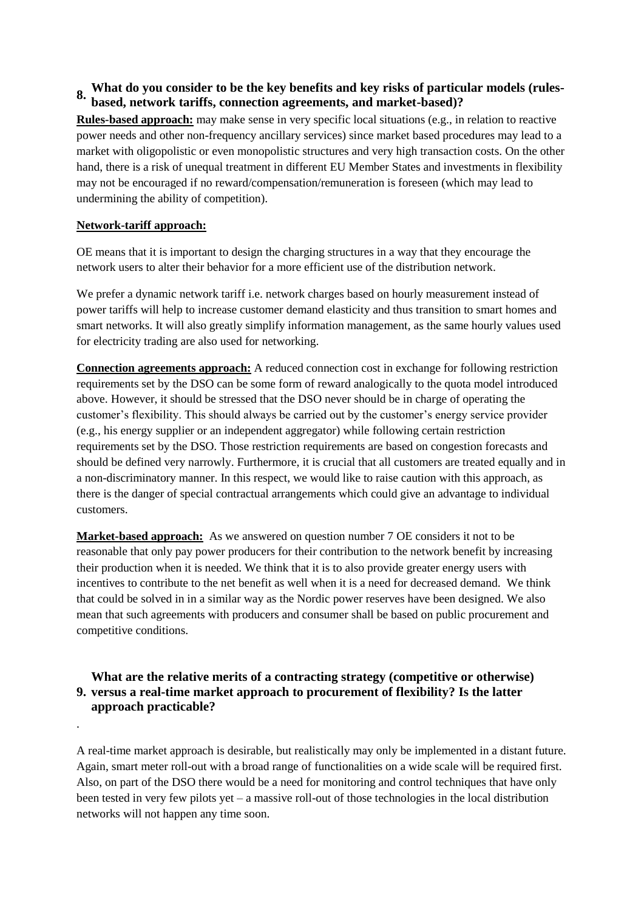### **8. What do you consider to be the key benefits and key risks of particular models (rulesbased, network tariffs, connection agreements, and market-based)?**

**Rules-based approach:** may make sense in very specific local situations (e.g., in relation to reactive power needs and other non-frequency ancillary services) since market based procedures may lead to a market with oligopolistic or even monopolistic structures and very high transaction costs. On the other hand, there is a risk of unequal treatment in different EU Member States and investments in flexibility may not be encouraged if no reward/compensation/remuneration is foreseen (which may lead to undermining the ability of competition).

#### **Network-tariff approach:**

.

OE means that it is important to design the charging structures in a way that they encourage the network users to alter their behavior for a more efficient use of the distribution network.

We prefer a dynamic network tariff i.e. network charges based on hourly measurement instead of power tariffs will help to increase customer demand elasticity and thus transition to smart homes and smart networks. It will also greatly simplify information management, as the same hourly values used for electricity trading are also used for networking.

**Connection agreements approach:** A reduced connection cost in exchange for following restriction requirements set by the DSO can be some form of reward analogically to the quota model introduced above. However, it should be stressed that the DSO never should be in charge of operating the customer's flexibility. This should always be carried out by the customer's energy service provider (e.g., his energy supplier or an independent aggregator) while following certain restriction requirements set by the DSO. Those restriction requirements are based on congestion forecasts and should be defined very narrowly. Furthermore, it is crucial that all customers are treated equally and in a non-discriminatory manner. In this respect, we would like to raise caution with this approach, as there is the danger of special contractual arrangements which could give an advantage to individual customers.

**Market-based approach:** As we answered on question number 7 OE considers it not to be reasonable that only pay power producers for their contribution to the network benefit by increasing their production when it is needed. We think that it is to also provide greater energy users with incentives to contribute to the net benefit as well when it is a need for decreased demand. We think that could be solved in in a similar way as the Nordic power reserves have been designed. We also mean that such agreements with producers and consumer shall be based on public procurement and competitive conditions.

#### **9. versus a real-time market approach to procurement of flexibility? Is the latter What are the relative merits of a contracting strategy (competitive or otherwise) approach practicable?**

A real-time market approach is desirable, but realistically may only be implemented in a distant future. Again, smart meter roll-out with a broad range of functionalities on a wide scale will be required first. Also, on part of the DSO there would be a need for monitoring and control techniques that have only been tested in very few pilots yet – a massive roll-out of those technologies in the local distribution networks will not happen any time soon.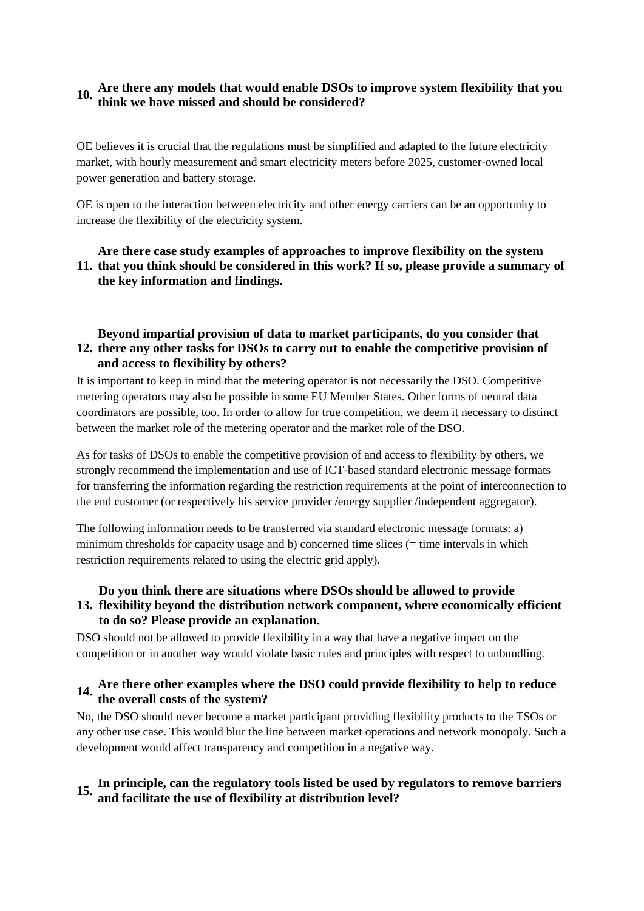# **10. Are there any models that would enable DSOs to improve system flexibility that you think we have missed and should be considered?**

OE believes it is crucial that the regulations must be simplified and adapted to the future electricity market, with hourly measurement and smart electricity meters before 2025, customer-owned local power generation and battery storage.

OE is open to the interaction between electricity and other energy carriers can be an opportunity to increase the flexibility of the electricity system.

#### **11. that you think should be considered in this work? If so, please provide a summary of Are there case study examples of approaches to improve flexibility on the system the key information and findings.**

#### **12. there any other tasks for DSOs to carry out to enable the competitive provision of Beyond impartial provision of data to market participants, do you consider that and access to flexibility by others?**

It is important to keep in mind that the metering operator is not necessarily the DSO. Competitive metering operators may also be possible in some EU Member States. Other forms of neutral data coordinators are possible, too. In order to allow for true competition, we deem it necessary to distinct between the market role of the metering operator and the market role of the DSO.

As for tasks of DSOs to enable the competitive provision of and access to flexibility by others, we strongly recommend the implementation and use of ICT-based standard electronic message formats for transferring the information regarding the restriction requirements at the point of interconnection to the end customer (or respectively his service provider /energy supplier /independent aggregator).

The following information needs to be transferred via standard electronic message formats: a) minimum thresholds for capacity usage and b) concerned time slices (= time intervals in which restriction requirements related to using the electric grid apply).

#### **13. flexibility beyond the distribution network component, where economically efficient Do you think there are situations where DSOs should be allowed to provide to do so? Please provide an explanation.**

DSO should not be allowed to provide flexibility in a way that have a negative impact on the competition or in another way would violate basic rules and principles with respect to unbundling.

## **14. Are there other examples where the DSO could provide flexibility to help to reduce the overall costs of the system?**

No, the DSO should never become a market participant providing flexibility products to the TSOs or any other use case. This would blur the line between market operations and network monopoly. Such a development would affect transparency and competition in a negative way.

# **15. In principle, can the regulatory tools listed be used by regulators to remove barriers and facilitate the use of flexibility at distribution level?**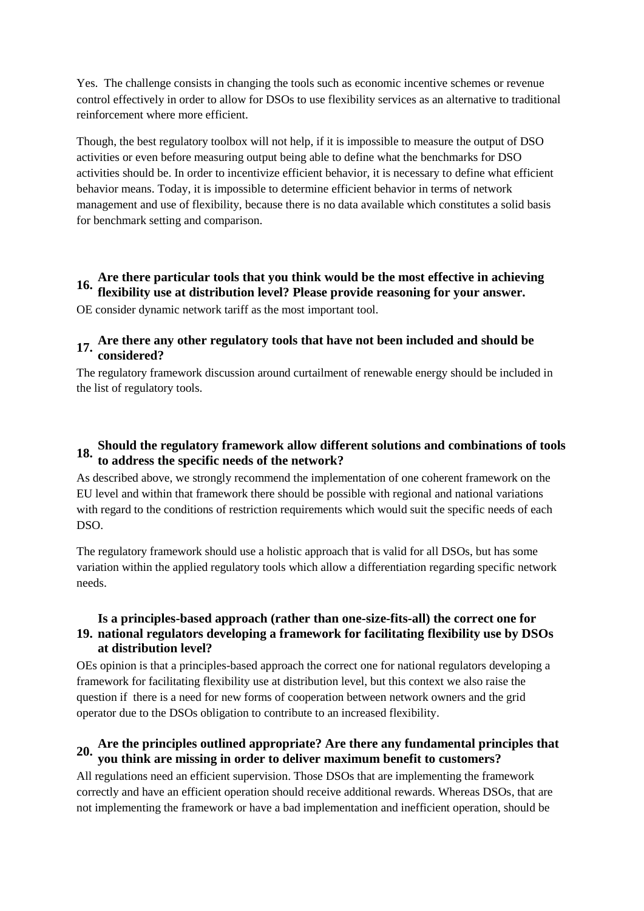Yes. The challenge consists in changing the tools such as economic incentive schemes or revenue control effectively in order to allow for DSOs to use flexibility services as an alternative to traditional reinforcement where more efficient.

Though, the best regulatory toolbox will not help, if it is impossible to measure the output of DSO activities or even before measuring output being able to define what the benchmarks for DSO activities should be. In order to incentivize efficient behavior, it is necessary to define what efficient behavior means. Today, it is impossible to determine efficient behavior in terms of network management and use of flexibility, because there is no data available which constitutes a solid basis for benchmark setting and comparison.

### **16.** Are there particular tools that you think would be the most effective in achieving **flexibility use at distribution level? Please provide reasoning for your answer.**

OE consider dynamic network tariff as the most important tool.

# **17. Are there any other regulatory tools that have not been included and should be considered?**

The regulatory framework discussion around curtailment of renewable energy should be included in the list of regulatory tools.

### **18. Should the regulatory framework allow different solutions and combinations of tools to address the specific needs of the network?**

As described above, we strongly recommend the implementation of one coherent framework on the EU level and within that framework there should be possible with regional and national variations with regard to the conditions of restriction requirements which would suit the specific needs of each DSO.

The regulatory framework should use a holistic approach that is valid for all DSOs, but has some variation within the applied regulatory tools which allow a differentiation regarding specific network needs.

#### **19. national regulators developing a framework for facilitating flexibility use by DSOs Is a principles-based approach (rather than one-size-fits-all) the correct one for at distribution level?**

OEs opinion is that a principles-based approach the correct one for national regulators developing a framework for facilitating flexibility use at distribution level, but this context we also raise the question if there is a need for new forms of cooperation between network owners and the grid operator due to the DSOs obligation to contribute to an increased flexibility.

# **20. Are the principles outlined appropriate? Are there any fundamental principles that you think are missing in order to deliver maximum benefit to customers?**

All regulations need an efficient supervision. Those DSOs that are implementing the framework correctly and have an efficient operation should receive additional rewards. Whereas DSOs, that are not implementing the framework or have a bad implementation and inefficient operation, should be